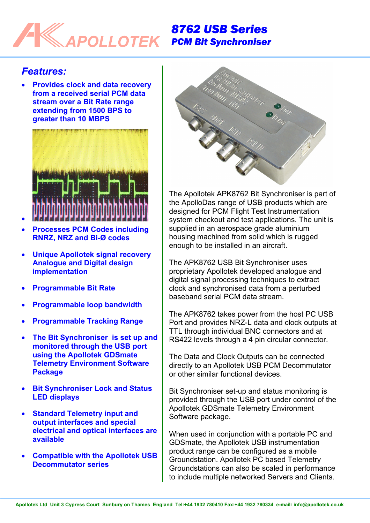## *8762 USB Series*  **POLLOTEK** *PCM Bit Synchroniser*

## *Features:*

•

• **Provides clock and data recovery from a received serial PCM data stream over a Bit Rate range extending from 1500 BPS to greater than 10 MBPS** 



- **Processes PCM Codes including RNRZ, NRZ and Bi-Ø codes**
- **Unique Apollotek signal recovery Analogue and Digital design implementation**
- **Programmable Bit Rate**
- **Programmable loop bandwidth**
- **Programmable Tracking Range**
- **The Bit Synchroniser is set up and monitored through the USB port using the Apollotek GDSmate Telemetry Environment Software Package**
- **Bit Synchroniser Lock and Status LED displays**
- **Standard Telemetry input and output interfaces and special electrical and optical interfaces are available**
- **Compatible with the Apollotek USB Decommutator series**



The Apollotek APK8762 Bit Synchroniser is part of the ApolloDas range of USB products which are designed for PCM Flight Test Instrumentation system checkout and test applications. The unit is supplied in an aerospace grade aluminium housing machined from solid which is rugged enough to be installed in an aircraft.

The APK8762 USB Bit Synchroniser uses proprietary Apollotek developed analogue and digital signal processing techniques to extract clock and synchronised data from a perturbed baseband serial PCM data stream.

The APK8762 takes power from the host PC USB Port and provides NRZ-L data and clock outputs at TTL through individual BNC connectors and at RS422 levels through a 4 pin circular connector.

The Data and Clock Outputs can be connected directly to an Apollotek USB PCM Decommutator or other similar functional devices.

Bit Synchroniser set-up and status monitoring is provided through the USB port under control of the Apollotek GDSmate Telemetry Environment Software package.

When used in conjunction with a portable PC and GDSmate, the Apollotek USB instrumentation product range can be configured as a mobile Groundstation. Apollotek PC based Telemetry Groundstations can also be scaled in performance to include multiple networked Servers and Clients.